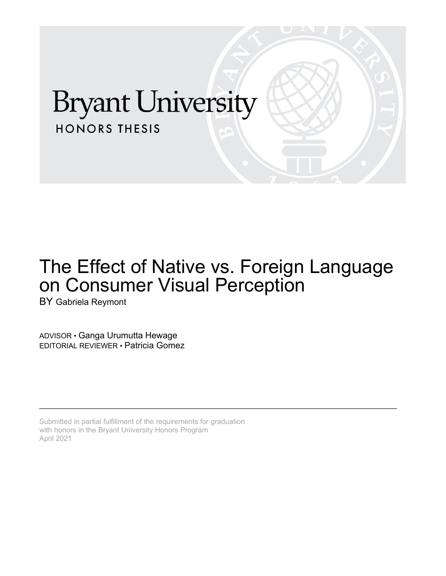# **Bryant University HONORS THESIS**

## The Effect of Native vs. Foreign Language on Consumer Visual Perception

\_\_\_\_\_\_\_\_\_\_\_\_\_\_\_\_\_\_\_\_\_\_\_\_\_\_\_\_\_\_\_\_\_\_\_\_\_\_\_\_\_\_\_\_\_\_\_\_\_\_\_\_\_\_\_\_\_\_\_\_\_\_\_\_\_\_\_\_\_\_\_\_\_\_\_\_\_\_\_\_\_\_\_\_\_\_\_\_\_

BY Gabriela Reymont

ADVISOR • Ganga Urumutta Hewage EDITORIAL REVIEWER • Patricia Gomez

Submitted in partial fulfillment of the requirements for graduation with honors in the Bryant University Honors Program April 2021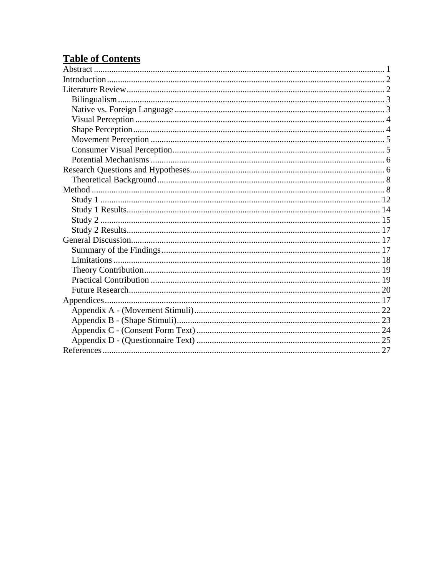## **Table of Contents**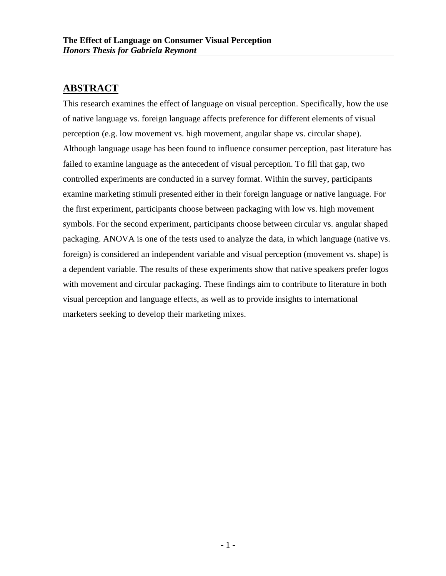## **ABSTRACT**

This research examines the effect of language on visual perception. Specifically, how the use of native language vs. foreign language affects preference for different elements of visual perception (e.g. low movement vs. high movement, angular shape vs. circular shape). Although language usage has been found to influence consumer perception, past literature has failed to examine language as the antecedent of visual perception. To fill that gap, two controlled experiments are conducted in a survey format. Within the survey, participants examine marketing stimuli presented either in their foreign language or native language. For the first experiment, participants choose between packaging with low vs. high movement symbols. For the second experiment, participants choose between circular vs. angular shaped packaging. ANOVA is one of the tests used to analyze the data, in which language (native vs. foreign) is considered an independent variable and visual perception (movement vs. shape) is a dependent variable. The results of these experiments show that native speakers prefer logos with movement and circular packaging. These findings aim to contribute to literature in both visual perception and language effects, as well as to provide insights to international marketers seeking to develop their marketing mixes.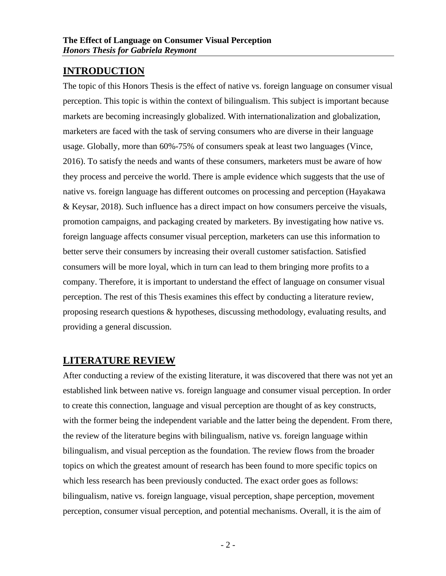## **INTRODUCTION**

The topic of this Honors Thesis is the effect of native vs. foreign language on consumer visual perception. This topic is within the context of bilingualism. This subject is important because markets are becoming increasingly globalized. With internationalization and globalization, marketers are faced with the task of serving consumers who are diverse in their language usage. Globally, more than 60%-75% of consumers speak at least two languages (Vince, 2016). To satisfy the needs and wants of these consumers, marketers must be aware of how they process and perceive the world. There is ample evidence which suggests that the use of native vs. foreign language has different outcomes on processing and perception (Hayakawa & Keysar, 2018). Such influence has a direct impact on how consumers perceive the visuals, promotion campaigns, and packaging created by marketers. By investigating how native vs. foreign language affects consumer visual perception, marketers can use this information to better serve their consumers by increasing their overall customer satisfaction. Satisfied consumers will be more loyal, which in turn can lead to them bringing more profits to a company. Therefore, it is important to understand the effect of language on consumer visual perception. The rest of this Thesis examines this effect by conducting a literature review, proposing research questions & hypotheses, discussing methodology, evaluating results, and providing a general discussion.

## **LITERATURE REVIEW**

After conducting a review of the existing literature, it was discovered that there was not yet an established link between native vs. foreign language and consumer visual perception. In order to create this connection, language and visual perception are thought of as key constructs, with the former being the independent variable and the latter being the dependent. From there, the review of the literature begins with bilingualism, native vs. foreign language within bilingualism, and visual perception as the foundation. The review flows from the broader topics on which the greatest amount of research has been found to more specific topics on which less research has been previously conducted. The exact order goes as follows: bilingualism, native vs. foreign language, visual perception, shape perception, movement perception, consumer visual perception, and potential mechanisms. Overall, it is the aim of

- 2 -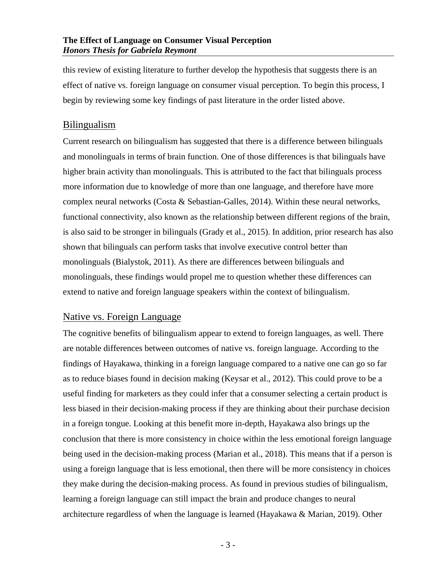this review of existing literature to further develop the hypothesis that suggests there is an effect of native vs. foreign language on consumer visual perception. To begin this process, I begin by reviewing some key findings of past literature in the order listed above.

### Bilingualism

Current research on bilingualism has suggested that there is a difference between bilinguals and monolinguals in terms of brain function. One of those differences is that bilinguals have higher brain activity than monolinguals. This is attributed to the fact that bilinguals process more information due to knowledge of more than one language, and therefore have more complex neural networks (Costa & Sebastian-Galles, 2014). Within these neural networks, functional connectivity, also known as the relationship between different regions of the brain, is also said to be stronger in bilinguals (Grady et al., 2015). In addition, prior research has also shown that bilinguals can perform tasks that involve executive control better than monolinguals (Bialystok, 2011). As there are differences between bilinguals and monolinguals, these findings would propel me to question whether these differences can extend to native and foreign language speakers within the context of bilingualism.

## Native vs. Foreign Language

The cognitive benefits of bilingualism appear to extend to foreign languages, as well. There are notable differences between outcomes of native vs. foreign language. According to the findings of Hayakawa, thinking in a foreign language compared to a native one can go so far as to reduce biases found in decision making (Keysar et al., 2012). This could prove to be a useful finding for marketers as they could infer that a consumer selecting a certain product is less biased in their decision-making process if they are thinking about their purchase decision in a foreign tongue. Looking at this benefit more in-depth, Hayakawa also brings up the conclusion that there is more consistency in choice within the less emotional foreign language being used in the decision-making process (Marian et al., 2018). This means that if a person is using a foreign language that is less emotional, then there will be more consistency in choices they make during the decision-making process. As found in previous studies of bilingualism, learning a foreign language can still impact the brain and produce changes to neural architecture regardless of when the language is learned (Hayakawa & Marian, 2019). Other

- 3 -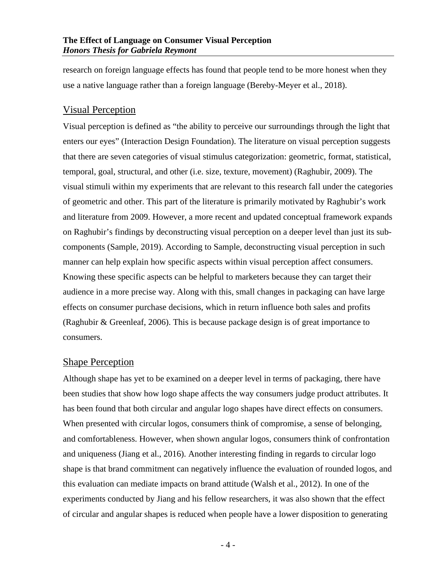research on foreign language effects has found that people tend to be more honest when they use a native language rather than a foreign language (Bereby-Meyer et al., 2018).

## Visual Perception

Visual perception is defined as "the ability to perceive our surroundings through the light that enters our eyes" (Interaction Design Foundation). The literature on visual perception suggests that there are seven categories of visual stimulus categorization: geometric, format, statistical, temporal, goal, structural, and other (i.e. size, texture, movement) (Raghubir, 2009). The visual stimuli within my experiments that are relevant to this research fall under the categories of geometric and other. This part of the literature is primarily motivated by Raghubir's work and literature from 2009. However, a more recent and updated conceptual framework expands on Raghubir's findings by deconstructing visual perception on a deeper level than just its subcomponents (Sample, 2019). According to Sample, deconstructing visual perception in such manner can help explain how specific aspects within visual perception affect consumers. Knowing these specific aspects can be helpful to marketers because they can target their audience in a more precise way. Along with this, small changes in packaging can have large effects on consumer purchase decisions, which in return influence both sales and profits (Raghubir & Greenleaf, 2006). This is because package design is of great importance to consumers.

#### Shape Perception

Although shape has yet to be examined on a deeper level in terms of packaging, there have been studies that show how logo shape affects the way consumers judge product attributes. It has been found that both circular and angular logo shapes have direct effects on consumers. When presented with circular logos, consumers think of compromise, a sense of belonging, and comfortableness. However, when shown angular logos, consumers think of confrontation and uniqueness (Jiang et al., 2016). Another interesting finding in regards to circular logo shape is that brand commitment can negatively influence the evaluation of rounded logos, and this evaluation can mediate impacts on brand attitude (Walsh et al., 2012). In one of the experiments conducted by Jiang and his fellow researchers, it was also shown that the effect of circular and angular shapes is reduced when people have a lower disposition to generating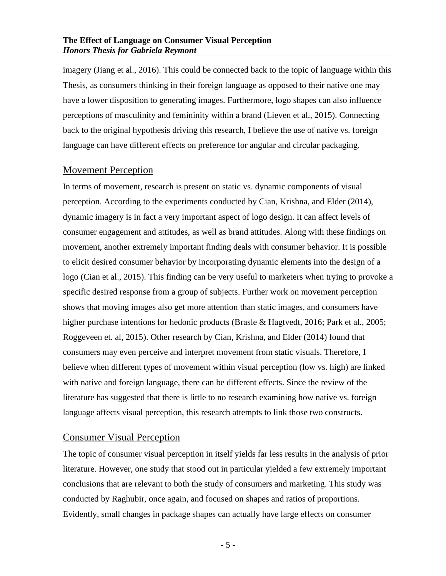imagery (Jiang et al., 2016). This could be connected back to the topic of language within this Thesis, as consumers thinking in their foreign language as opposed to their native one may have a lower disposition to generating images. Furthermore, logo shapes can also influence perceptions of masculinity and femininity within a brand (Lieven et al., 2015). Connecting back to the original hypothesis driving this research, I believe the use of native vs. foreign language can have different effects on preference for angular and circular packaging.

#### Movement Perception

In terms of movement, research is present on static vs. dynamic components of visual perception. According to the experiments conducted by Cian, Krishna, and Elder (2014), dynamic imagery is in fact a very important aspect of logo design. It can affect levels of consumer engagement and attitudes, as well as brand attitudes. Along with these findings on movement, another extremely important finding deals with consumer behavior. It is possible to elicit desired consumer behavior by incorporating dynamic elements into the design of a logo (Cian et al., 2015). This finding can be very useful to marketers when trying to provoke a specific desired response from a group of subjects. Further work on movement perception shows that moving images also get more attention than static images, and consumers have higher purchase intentions for hedonic products (Brasle & Hagtvedt, 2016; Park et al., 2005; Roggeveen et. al, 2015). Other research by Cian, Krishna, and Elder (2014) found that consumers may even perceive and interpret movement from static visuals. Therefore, I believe when different types of movement within visual perception (low vs. high) are linked with native and foreign language, there can be different effects. Since the review of the literature has suggested that there is little to no research examining how native vs. foreign language affects visual perception, this research attempts to link those two constructs.

## Consumer Visual Perception

The topic of consumer visual perception in itself yields far less results in the analysis of prior literature. However, one study that stood out in particular yielded a few extremely important conclusions that are relevant to both the study of consumers and marketing. This study was conducted by Raghubir, once again, and focused on shapes and ratios of proportions. Evidently, small changes in package shapes can actually have large effects on consumer

- 5 -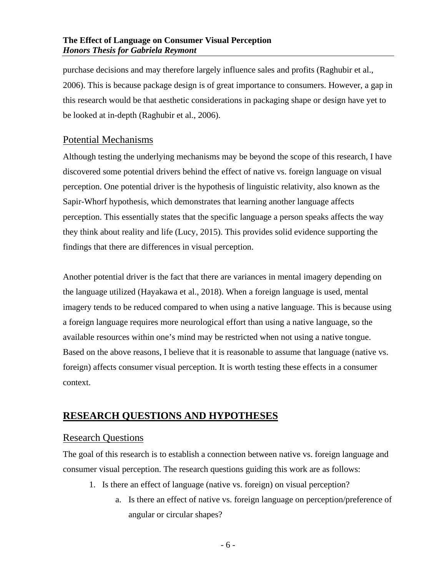purchase decisions and may therefore largely influence sales and profits (Raghubir et al., 2006). This is because package design is of great importance to consumers. However, a gap in this research would be that aesthetic considerations in packaging shape or design have yet to be looked at in-depth (Raghubir et al., 2006).

## Potential Mechanisms

Although testing the underlying mechanisms may be beyond the scope of this research, I have discovered some potential drivers behind the effect of native vs. foreign language on visual perception. One potential driver is the hypothesis of linguistic relativity, also known as the Sapir-Whorf hypothesis, which demonstrates that learning another language affects perception. This essentially states that the specific language a person speaks affects the way they think about reality and life (Lucy, 2015). This provides solid evidence supporting the findings that there are differences in visual perception.

Another potential driver is the fact that there are variances in mental imagery depending on the language utilized (Hayakawa et al., 2018). When a foreign language is used, mental imagery tends to be reduced compared to when using a native language. This is because using a foreign language requires more neurological effort than using a native language, so the available resources within one's mind may be restricted when not using a native tongue. Based on the above reasons, I believe that it is reasonable to assume that language (native vs. foreign) affects consumer visual perception. It is worth testing these effects in a consumer context.

## **RESEARCH QUESTIONS AND HYPOTHESES**

## Research Questions

The goal of this research is to establish a connection between native vs. foreign language and consumer visual perception. The research questions guiding this work are as follows:

- 1. Is there an effect of language (native vs. foreign) on visual perception?
	- a. Is there an effect of native vs. foreign language on perception/preference of angular or circular shapes?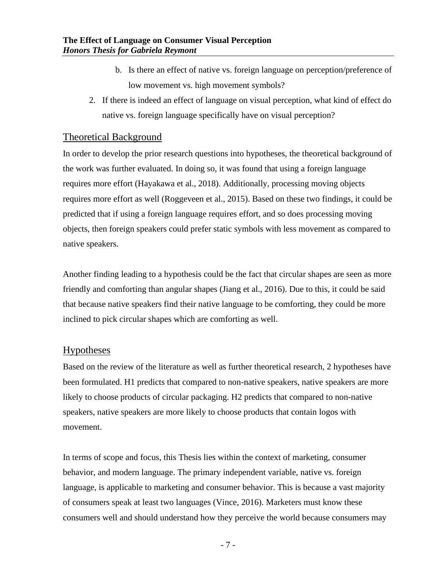- b. Is there an effect of native vs. foreign language on perception/preference of low movement vs. high movement symbols?
- 2. If there is indeed an effect of language on visual perception, what kind of effect do native vs. foreign language specifically have on visual perception?

## Theoretical Background

In order to develop the prior research questions into hypotheses, the theoretical background of the work was further evaluated. In doing so, it was found that using a foreign language requires more effort (Hayakawa et al., 2018). Additionally, processing moving objects requires more effort as well (Roggeveen et al., 2015). Based on these two findings, it could be predicted that if using a foreign language requires effort, and so does processing moving objects, then foreign speakers could prefer static symbols with less movement as compared to native speakers.

Another finding leading to a hypothesis could be the fact that circular shapes are seen as more friendly and comforting than angular shapes (Jiang et al., 2016). Due to this, it could be said that because native speakers find their native language to be comforting, they could be more inclined to pick circular shapes which are comforting as well.

## Hypotheses

Based on the review of the literature as well as further theoretical research, 2 hypotheses have been formulated. H1 predicts that compared to non-native speakers, native speakers are more likely to choose products of circular packaging. H2 predicts that compared to non-native speakers, native speakers are more likely to choose products that contain logos with movement.

In terms of scope and focus, this Thesis lies within the context of marketing, consumer behavior, and modern language. The primary independent variable, native vs. foreign language, is applicable to marketing and consumer behavior. This is because a vast majority of consumers speak at least two languages (Vince, 2016). Marketers must know these consumers well and should understand how they perceive the world because consumers may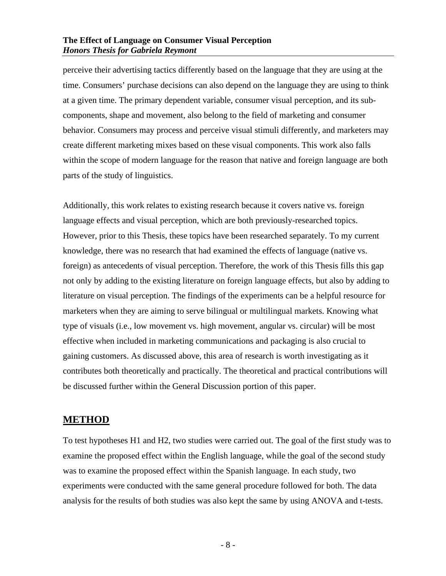perceive their advertising tactics differently based on the language that they are using at the time. Consumers' purchase decisions can also depend on the language they are using to think at a given time. The primary dependent variable, consumer visual perception, and its subcomponents, shape and movement, also belong to the field of marketing and consumer behavior. Consumers may process and perceive visual stimuli differently, and marketers may create different marketing mixes based on these visual components. This work also falls within the scope of modern language for the reason that native and foreign language are both parts of the study of linguistics.

Additionally, this work relates to existing research because it covers native vs. foreign language effects and visual perception, which are both previously-researched topics. However, prior to this Thesis, these topics have been researched separately. To my current knowledge, there was no research that had examined the effects of language (native vs. foreign) as antecedents of visual perception. Therefore, the work of this Thesis fills this gap not only by adding to the existing literature on foreign language effects, but also by adding to literature on visual perception. The findings of the experiments can be a helpful resource for marketers when they are aiming to serve bilingual or multilingual markets. Knowing what type of visuals (i.e., low movement vs. high movement, angular vs. circular) will be most effective when included in marketing communications and packaging is also crucial to gaining customers. As discussed above, this area of research is worth investigating as it contributes both theoretically and practically. The theoretical and practical contributions will be discussed further within the General Discussion portion of this paper.

## **METHOD**

To test hypotheses H1 and H2, two studies were carried out. The goal of the first study was to examine the proposed effect within the English language, while the goal of the second study was to examine the proposed effect within the Spanish language. In each study, two experiments were conducted with the same general procedure followed for both. The data analysis for the results of both studies was also kept the same by using ANOVA and t-tests.

- 8 -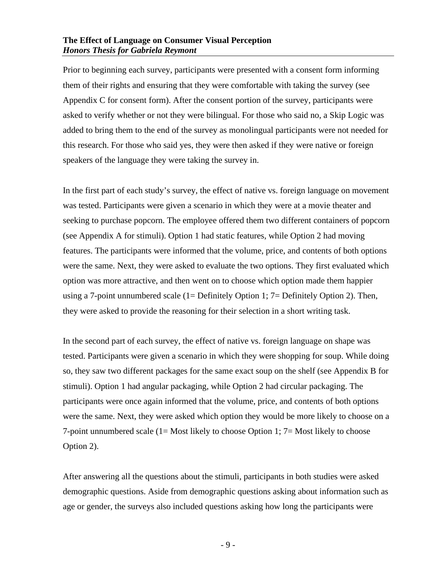Prior to beginning each survey, participants were presented with a consent form informing them of their rights and ensuring that they were comfortable with taking the survey (see Appendix C for consent form). After the consent portion of the survey, participants were asked to verify whether or not they were bilingual. For those who said no, a Skip Logic was added to bring them to the end of the survey as monolingual participants were not needed for this research. For those who said yes, they were then asked if they were native or foreign speakers of the language they were taking the survey in.

In the first part of each study's survey, the effect of native vs. foreign language on movement was tested. Participants were given a scenario in which they were at a movie theater and seeking to purchase popcorn. The employee offered them two different containers of popcorn (see Appendix A for stimuli). Option 1 had static features, while Option 2 had moving features. The participants were informed that the volume, price, and contents of both options were the same. Next, they were asked to evaluate the two options. They first evaluated which option was more attractive, and then went on to choose which option made them happier using a 7-point unnumbered scale (1= Definitely Option 1; 7= Definitely Option 2). Then, they were asked to provide the reasoning for their selection in a short writing task.

In the second part of each survey, the effect of native vs. foreign language on shape was tested. Participants were given a scenario in which they were shopping for soup. While doing so, they saw two different packages for the same exact soup on the shelf (see Appendix B for stimuli). Option 1 had angular packaging, while Option 2 had circular packaging. The participants were once again informed that the volume, price, and contents of both options were the same. Next, they were asked which option they would be more likely to choose on a 7-point unnumbered scale (1= Most likely to choose Option 1; 7= Most likely to choose Option 2).

After answering all the questions about the stimuli, participants in both studies were asked demographic questions. Aside from demographic questions asking about information such as age or gender, the surveys also included questions asking how long the participants were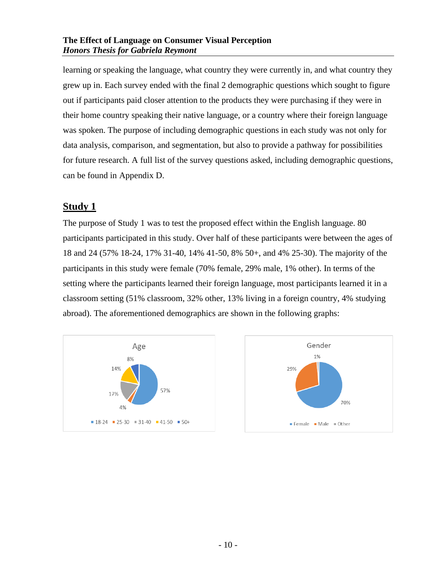learning or speaking the language, what country they were currently in, and what country they grew up in. Each survey ended with the final 2 demographic questions which sought to figure out if participants paid closer attention to the products they were purchasing if they were in their home country speaking their native language, or a country where their foreign language was spoken. The purpose of including demographic questions in each study was not only for data analysis, comparison, and segmentation, but also to provide a pathway for possibilities for future research. A full list of the survey questions asked, including demographic questions, can be found in Appendix D.

## **Study 1**

The purpose of Study 1 was to test the proposed effect within the English language. 80 participants participated in this study. Over half of these participants were between the ages of 18 and 24 (57% 18-24, 17% 31-40, 14% 41-50, 8% 50+, and 4% 25-30). The majority of the participants in this study were female (70% female, 29% male, 1% other). In terms of the setting where the participants learned their foreign language, most participants learned it in a classroom setting (51% classroom, 32% other, 13% living in a foreign country, 4% studying abroad). The aforementioned demographics are shown in the following graphs:



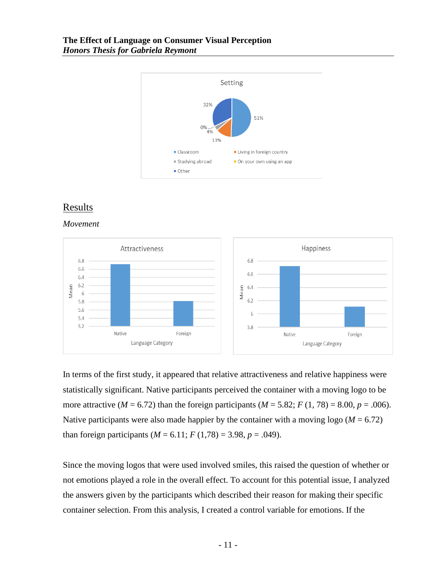

## Results

*Movement*



In terms of the first study, it appeared that relative attractiveness and relative happiness were statistically significant. Native participants perceived the container with a moving logo to be more attractive ( $M = 6.72$ ) than the foreign participants ( $M = 5.82$ ;  $F(1, 78) = 8.00$ ,  $p = .006$ ). Native participants were also made happier by the container with a moving logo ( $M = 6.72$ ) than foreign participants  $(M = 6.11; F(1,78) = 3.98, p = .049)$ .

Since the moving logos that were used involved smiles, this raised the question of whether or not emotions played a role in the overall effect. To account for this potential issue, I analyzed the answers given by the participants which described their reason for making their specific container selection. From this analysis, I created a control variable for emotions. If the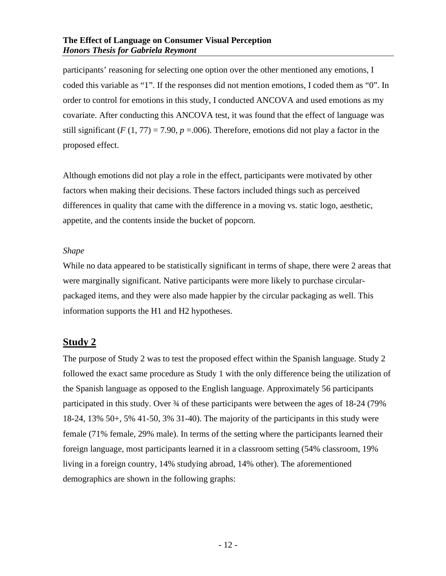participants' reasoning for selecting one option over the other mentioned any emotions, I coded this variable as "1". If the responses did not mention emotions, I coded them as "0". In order to control for emotions in this study, I conducted ANCOVA and used emotions as my covariate. After conducting this ANCOVA test, it was found that the effect of language was still significant ( $F(1, 77) = 7.90$ ,  $p = .006$ ). Therefore, emotions did not play a factor in the proposed effect.

Although emotions did not play a role in the effect, participants were motivated by other factors when making their decisions. These factors included things such as perceived differences in quality that came with the difference in a moving vs. static logo, aesthetic, appetite, and the contents inside the bucket of popcorn.

#### *Shape*

While no data appeared to be statistically significant in terms of shape, there were 2 areas that were marginally significant. Native participants were more likely to purchase circularpackaged items, and they were also made happier by the circular packaging as well. This information supports the H1 and H2 hypotheses.

## **Study 2**

The purpose of Study 2 was to test the proposed effect within the Spanish language. Study 2 followed the exact same procedure as Study 1 with the only difference being the utilization of the Spanish language as opposed to the English language. Approximately 56 participants participated in this study. Over  $\frac{3}{4}$  of these participants were between the ages of 18-24 (79%) 18-24, 13% 50+, 5% 41-50, 3% 31-40). The majority of the participants in this study were female (71% female, 29% male). In terms of the setting where the participants learned their foreign language, most participants learned it in a classroom setting (54% classroom, 19% living in a foreign country, 14% studying abroad, 14% other). The aforementioned demographics are shown in the following graphs: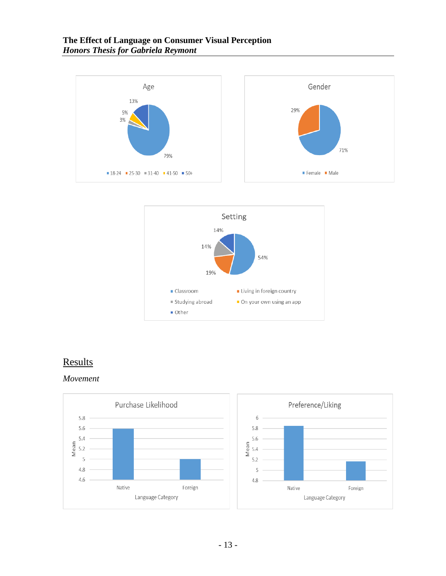



## **Results**

#### *Movement*

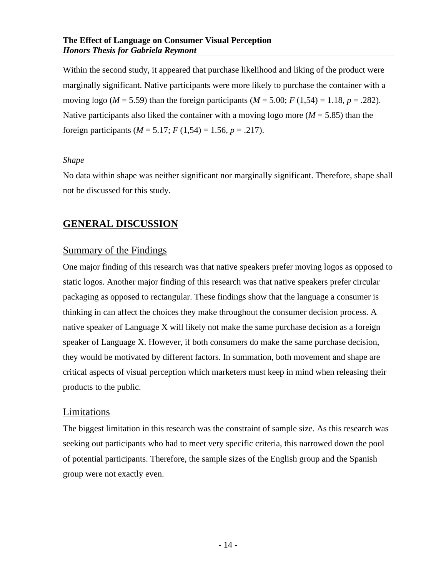Within the second study, it appeared that purchase likelihood and liking of the product were marginally significant. Native participants were more likely to purchase the container with a moving logo ( $M = 5.59$ ) than the foreign participants ( $M = 5.00$ ;  $F(1,54) = 1.18$ ,  $p = .282$ ). Native participants also liked the container with a moving logo more  $(M = 5.85)$  than the foreign participants ( $M = 5.17$ ;  $F(1,54) = 1.56$ ,  $p = .217$ ).

#### *Shape*

No data within shape was neither significant nor marginally significant. Therefore, shape shall not be discussed for this study.

## **GENERAL DISCUSSION**

### Summary of the Findings

One major finding of this research was that native speakers prefer moving logos as opposed to static logos. Another major finding of this research was that native speakers prefer circular packaging as opposed to rectangular. These findings show that the language a consumer is thinking in can affect the choices they make throughout the consumer decision process. A native speaker of Language X will likely not make the same purchase decision as a foreign speaker of Language X. However, if both consumers do make the same purchase decision, they would be motivated by different factors. In summation, both movement and shape are critical aspects of visual perception which marketers must keep in mind when releasing their products to the public.

#### Limitations

The biggest limitation in this research was the constraint of sample size. As this research was seeking out participants who had to meet very specific criteria, this narrowed down the pool of potential participants. Therefore, the sample sizes of the English group and the Spanish group were not exactly even.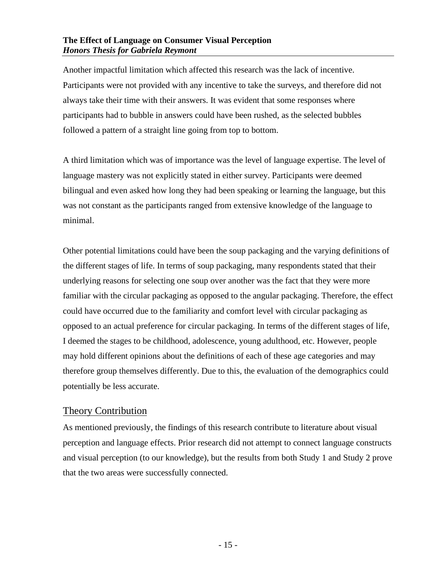Another impactful limitation which affected this research was the lack of incentive. Participants were not provided with any incentive to take the surveys, and therefore did not always take their time with their answers. It was evident that some responses where participants had to bubble in answers could have been rushed, as the selected bubbles followed a pattern of a straight line going from top to bottom.

A third limitation which was of importance was the level of language expertise. The level of language mastery was not explicitly stated in either survey. Participants were deemed bilingual and even asked how long they had been speaking or learning the language, but this was not constant as the participants ranged from extensive knowledge of the language to minimal.

Other potential limitations could have been the soup packaging and the varying definitions of the different stages of life. In terms of soup packaging, many respondents stated that their underlying reasons for selecting one soup over another was the fact that they were more familiar with the circular packaging as opposed to the angular packaging. Therefore, the effect could have occurred due to the familiarity and comfort level with circular packaging as opposed to an actual preference for circular packaging. In terms of the different stages of life, I deemed the stages to be childhood, adolescence, young adulthood, etc. However, people may hold different opinions about the definitions of each of these age categories and may therefore group themselves differently. Due to this, the evaluation of the demographics could potentially be less accurate.

## Theory Contribution

As mentioned previously, the findings of this research contribute to literature about visual perception and language effects. Prior research did not attempt to connect language constructs and visual perception (to our knowledge), but the results from both Study 1 and Study 2 prove that the two areas were successfully connected.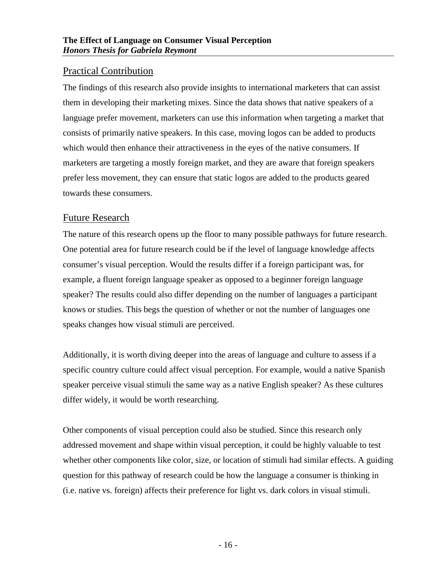## Practical Contribution

The findings of this research also provide insights to international marketers that can assist them in developing their marketing mixes. Since the data shows that native speakers of a language prefer movement, marketers can use this information when targeting a market that consists of primarily native speakers. In this case, moving logos can be added to products which would then enhance their attractiveness in the eyes of the native consumers. If marketers are targeting a mostly foreign market, and they are aware that foreign speakers prefer less movement, they can ensure that static logos are added to the products geared towards these consumers.

## Future Research

The nature of this research opens up the floor to many possible pathways for future research. One potential area for future research could be if the level of language knowledge affects consumer's visual perception. Would the results differ if a foreign participant was, for example, a fluent foreign language speaker as opposed to a beginner foreign language speaker? The results could also differ depending on the number of languages a participant knows or studies. This begs the question of whether or not the number of languages one speaks changes how visual stimuli are perceived.

Additionally, it is worth diving deeper into the areas of language and culture to assess if a specific country culture could affect visual perception. For example, would a native Spanish speaker perceive visual stimuli the same way as a native English speaker? As these cultures differ widely, it would be worth researching.

Other components of visual perception could also be studied. Since this research only addressed movement and shape within visual perception, it could be highly valuable to test whether other components like color, size, or location of stimuli had similar effects. A guiding question for this pathway of research could be how the language a consumer is thinking in (i.e. native vs. foreign) affects their preference for light vs. dark colors in visual stimuli.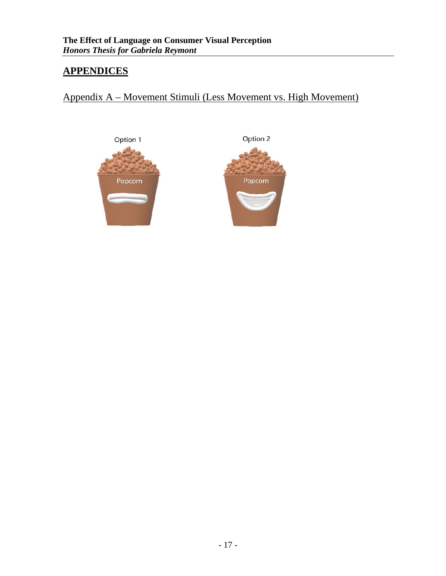## **APPENDICES**

Appendix A – Movement Stimuli (Less Movement vs. High Movement)



Option 2

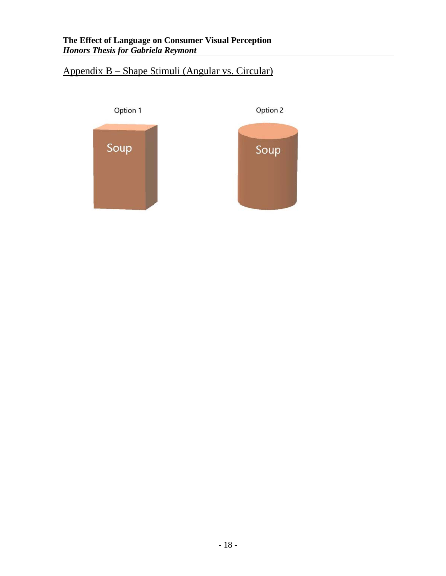## Appendix B – Shape Stimuli (Angular vs. Circular)

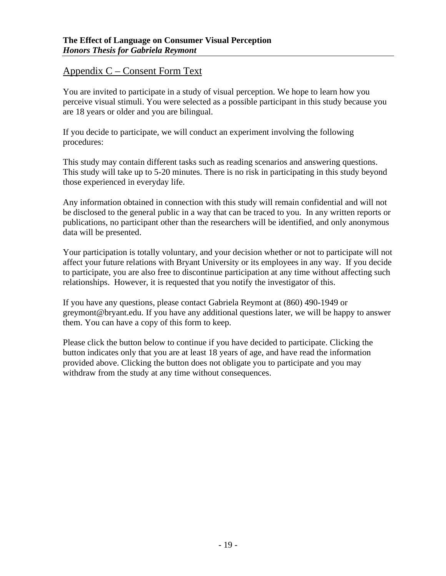## Appendix C – Consent Form Text

You are invited to participate in a study of visual perception. We hope to learn how you perceive visual stimuli. You were selected as a possible participant in this study because you are 18 years or older and you are bilingual.

If you decide to participate, we will conduct an experiment involving the following procedures:

This study may contain different tasks such as reading scenarios and answering questions. This study will take up to 5-20 minutes. There is no risk in participating in this study beyond those experienced in everyday life.

Any information obtained in connection with this study will remain confidential and will not be disclosed to the general public in a way that can be traced to you. In any written reports or publications, no participant other than the researchers will be identified, and only anonymous data will be presented.

Your participation is totally voluntary, and your decision whether or not to participate will not affect your future relations with Bryant University or its employees in any way. If you decide to participate, you are also free to discontinue participation at any time without affecting such relationships. However, it is requested that you notify the investigator of this.

If you have any questions, please contact Gabriela Reymont at (860) 490-1949 or greymont@bryant.edu. If you have any additional questions later, we will be happy to answer them. You can have a copy of this form to keep.

Please click the button below to continue if you have decided to participate. Clicking the button indicates only that you are at least 18 years of age, and have read the information provided above. Clicking the button does not obligate you to participate and you may withdraw from the study at any time without consequences.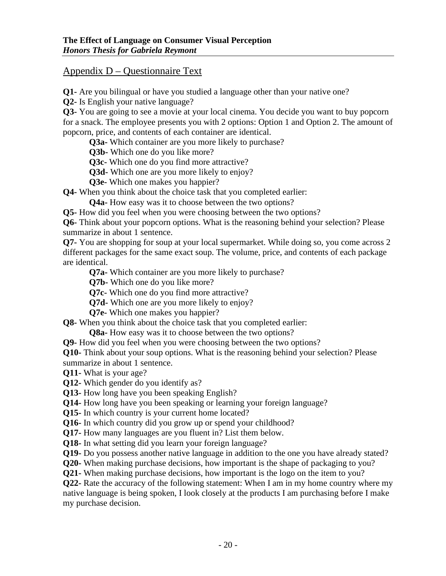## Appendix D – Questionnaire Text

**Q1-** Are you bilingual or have you studied a language other than your native one?

**Q2-** Is English your native language?

**Q3-** You are going to see a movie at your local cinema. You decide you want to buy popcorn for a snack. The employee presents you with 2 options: Option 1 and Option 2. The amount of popcorn, price, and contents of each container are identical.

**Q3a-** Which container are you more likely to purchase?

**Q3b-** Which one do you like more?

**Q3c-** Which one do you find more attractive?

**Q3d-** Which one are you more likely to enjoy?

**Q3e-** Which one makes you happier?

**Q4-** When you think about the choice task that you completed earlier:

**Q4a-** How easy was it to choose between the two options?

**Q5-** How did you feel when you were choosing between the two options?

**Q6-** Think about your popcorn options. What is the reasoning behind your selection? Please summarize in about 1 sentence.

**Q7-** You are shopping for soup at your local supermarket. While doing so, you come across 2 different packages for the same exact soup. The volume, price, and contents of each package are identical.

**Q7a-** Which container are you more likely to purchase?

**Q7b-** Which one do you like more?

**Q7c-** Which one do you find more attractive?

**Q7d-** Which one are you more likely to enjoy?

**Q7e-** Which one makes you happier?

**Q8-** When you think about the choice task that you completed earlier:

**Q8a-** How easy was it to choose between the two options?

**Q9-** How did you feel when you were choosing between the two options?

**Q10-** Think about your soup options. What is the reasoning behind your selection? Please summarize in about 1 sentence.

**Q11-** What is your age?

**Q12-** Which gender do you identify as?

**Q13-** How long have you been speaking English?

**Q14-** How long have you been speaking or learning your foreign language?

**Q15-** In which country is your current home located?

**Q16-** In which country did you grow up or spend your childhood?

**Q17-** How many languages are you fluent in? List them below.

**Q18-** In what setting did you learn your foreign language?

**Q19-** Do you possess another native language in addition to the one you have already stated?

**Q20-** When making purchase decisions, how important is the shape of packaging to you?

**Q21-** When making purchase decisions, how important is the logo on the item to you?

**Q22-** Rate the accuracy of the following statement: When I am in my home country where my native language is being spoken, I look closely at the products I am purchasing before I make my purchase decision.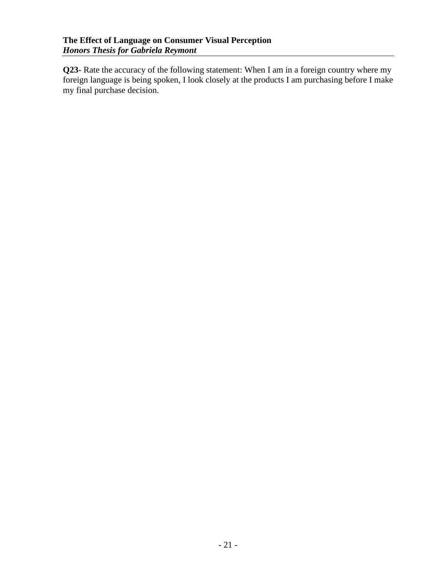**Q23-** Rate the accuracy of the following statement: When I am in a foreign country where my foreign language is being spoken, I look closely at the products I am purchasing before I make my final purchase decision.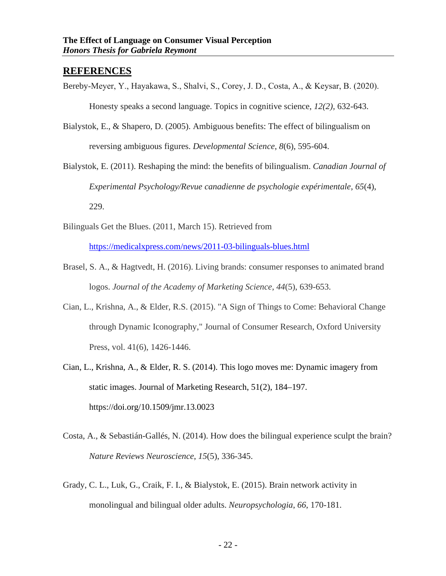#### **REFERENCES**

Bereby‐Meyer, Y., Hayakawa, S., Shalvi, S., Corey, J. D., Costa, A., & Keysar, B. (2020).

Honesty speaks a second language. Topics in cognitive science, *12(2),* 632-643.

- Bialystok, E., & Shapero, D. (2005). Ambiguous benefits: The effect of bilingualism on reversing ambiguous figures. *Developmental Science*, *8*(6), 595-604.
- Bialystok, E. (2011). Reshaping the mind: the benefits of bilingualism. *Canadian Journal of Experimental Psychology/Revue canadienne de psychologie expérimentale*, *65*(4), 229.
- Bilinguals Get the Blues. (2011, March 15). Retrieved from

<https://medicalxpress.com/news/2011-03-bilinguals-blues.html>

- Brasel, S. A., & Hagtvedt, H. (2016). Living brands: consumer responses to animated brand logos. *Journal of the Academy of Marketing Science*, *44*(5), 639-653.
- Cian, L., Krishna, A., & Elder, R.S. (2015). "A Sign of Things to Come: Behavioral Change through Dynamic Iconography," Journal of Consumer Research, Oxford University Press, vol. 41(6), 1426-1446.
- Cian, L., Krishna, A., & Elder, R. S. (2014). This logo moves me: Dynamic imagery from static images. Journal of Marketing Research, 51(2), 184–197. https://doi.org/10.1509/jmr.13.0023
- Costa, A., & Sebastián-Gallés, N. (2014). How does the bilingual experience sculpt the brain? *Nature Reviews Neuroscience*, *15*(5), 336-345.
- Grady, C. L., Luk, G., Craik, F. I., & Bialystok, E. (2015). Brain network activity in monolingual and bilingual older adults. *Neuropsychologia*, *66*, 170-181.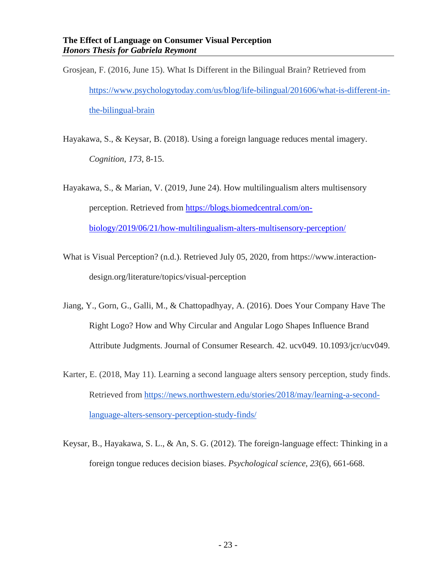- Grosjean, F. (2016, June 15). What Is Different in the Bilingual Brain? Retrieved from [https://www.psychologytoday.com/us/blog/life-bilingual/201606/what-is-different-in](https://www.psychologytoday.com/us/blog/life-bilingual/201606/what-is-different-in-the-bilingual-brain)[the-bilingual-brain](https://www.psychologytoday.com/us/blog/life-bilingual/201606/what-is-different-in-the-bilingual-brain)
- Hayakawa, S., & Keysar, B. (2018). Using a foreign language reduces mental imagery. *Cognition*, *173*, 8-15.
- Hayakawa, S., & Marian, V. (2019, June 24). How multilingualism alters multisensory perception. Retrieved from [https://blogs.biomedcentral.com/on](https://blogs.biomedcentral.com/on-biology/2019/06/21/how-multilingualism-alters-multisensory-perception/)[biology/2019/06/21/how-multilingualism-alters-multisensory-perception/](https://blogs.biomedcentral.com/on-biology/2019/06/21/how-multilingualism-alters-multisensory-perception/)
- What is Visual Perception? (n.d.). Retrieved July 05, 2020, from https://www.interactiondesign.org/literature/topics/visual-perception
- Jiang, Y., Gorn, G., Galli, M., & Chattopadhyay, A. (2016). Does Your Company Have The Right Logo? How and Why Circular and Angular Logo Shapes Influence Brand Attribute Judgments. Journal of Consumer Research. 42. ucv049. 10.1093/jcr/ucv049.
- Karter, E. (2018, May 11). Learning a second language alters sensory perception, study finds. Retrieved from [https://news.northwestern.edu/stories/2018/may/learning-a-second](https://news.northwestern.edu/stories/2018/may/learning-a-second-language-alters-sensory-perception-study-finds/)[language-alters-sensory-perception-study-finds/](https://news.northwestern.edu/stories/2018/may/learning-a-second-language-alters-sensory-perception-study-finds/)
- Keysar, B., Hayakawa, S. L., & An, S. G. (2012). The foreign-language effect: Thinking in a foreign tongue reduces decision biases. *Psychological science*, *23*(6), 661-668.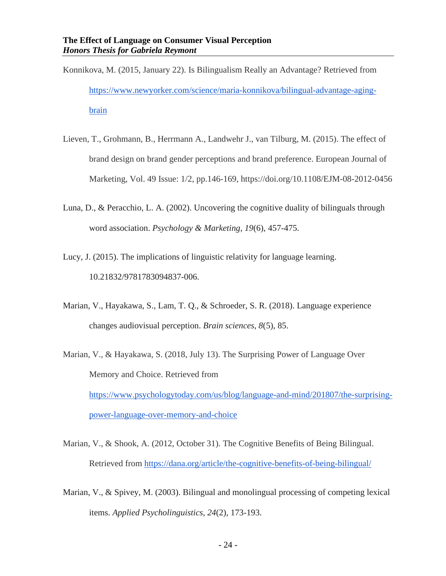- Konnikova, M. (2015, January 22). Is Bilingualism Really an Advantage? Retrieved from [https://www.newyorker.com/science/maria-konnikova/bilingual-advantage-aging](https://www.newyorker.com/science/maria-konnikova/bilingual-advantage-aging-brain)[brain](https://www.newyorker.com/science/maria-konnikova/bilingual-advantage-aging-brain)
- Lieven, T., Grohmann, B., Herrmann A., Landwehr J., van Tilburg, M. (2015). The effect of brand design on brand gender perceptions and brand preference. European Journal of Marketing, Vol. 49 Issue: 1/2, pp.146-169, https://doi.org/10.1108/EJM-08-2012-0456
- Luna, D., & Peracchio, L. A. (2002). Uncovering the cognitive duality of bilinguals through word association. *Psychology & Marketing*, *19*(6), 457-475.
- Lucy, J. (2015). The implications of linguistic relativity for language learning. 10.21832/9781783094837-006.
- Marian, V., Hayakawa, S., Lam, T. Q., & Schroeder, S. R. (2018). Language experience changes audiovisual perception. *Brain sciences*, *8*(5), 85.
- Marian, V., & Hayakawa, S. (2018, July 13). The Surprising Power of Language Over Memory and Choice. Retrieved from [https://www.psychologytoday.com/us/blog/language-and-mind/201807/the-surprising](https://www.psychologytoday.com/us/blog/language-and-mind/201807/the-surprising-power-language-over-memory-and-choice)[power-language-over-memory-and-choice](https://www.psychologytoday.com/us/blog/language-and-mind/201807/the-surprising-power-language-over-memory-and-choice)
- Marian, V., & Shook, A. (2012, October 31). The Cognitive Benefits of Being Bilingual. Retrieved from<https://dana.org/article/the-cognitive-benefits-of-being-bilingual/>
- Marian, V., & Spivey, M. (2003). Bilingual and monolingual processing of competing lexical items. *Applied Psycholinguistics*, *24*(2), 173-193.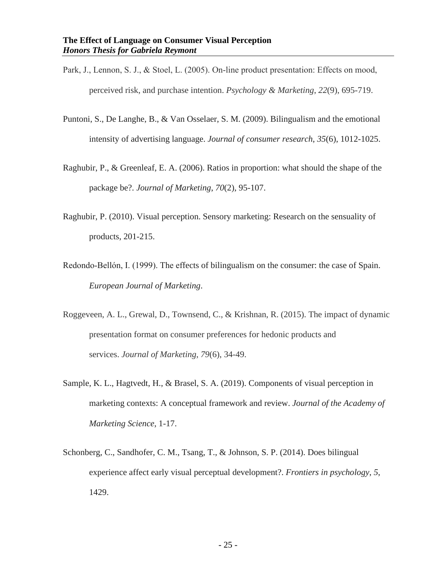- Park, J., Lennon, S. J., & Stoel, L. (2005). On‐line product presentation: Effects on mood, perceived risk, and purchase intention. *Psychology & Marketing*, *22*(9), 695-719.
- Puntoni, S., De Langhe, B., & Van Osselaer, S. M. (2009). Bilingualism and the emotional intensity of advertising language. *Journal of consumer research*, *35*(6), 1012-1025.
- Raghubir, P., & Greenleaf, E. A. (2006). Ratios in proportion: what should the shape of the package be?. *Journal of Marketing*, *70*(2), 95-107.
- Raghubir, P. (2010). Visual perception. Sensory marketing: Research on the sensuality of products, 201-215.
- Redondo-Bellón, I. (1999). The effects of bilingualism on the consumer: the case of Spain. *European Journal of Marketing*.
- Roggeveen, A. L., Grewal, D., Townsend, C., & Krishnan, R. (2015). The impact of dynamic presentation format on consumer preferences for hedonic products and services. *Journal of Marketing*, *79*(6), 34-49.
- Sample, K. L., Hagtvedt, H., & Brasel, S. A. (2019). Components of visual perception in marketing contexts: A conceptual framework and review. *Journal of the Academy of Marketing Science*, 1-17.
- Schonberg, C., Sandhofer, C. M., Tsang, T., & Johnson, S. P. (2014). Does bilingual experience affect early visual perceptual development?. *Frontiers in psychology*, *5*, 1429.